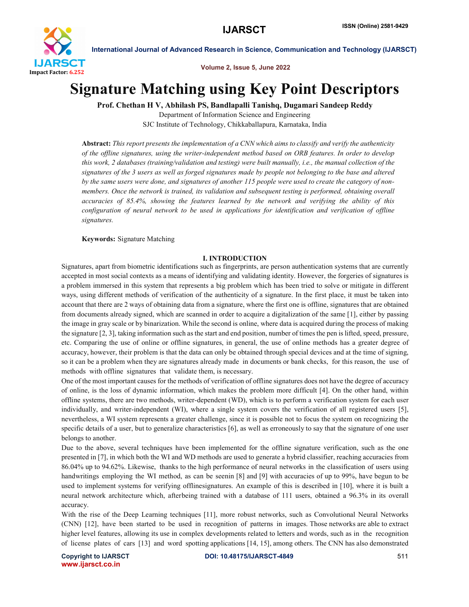

Volume 2, Issue 5, June 2022

# Signature Matching using Key Point Descriptors

Prof. Chethan H V, Abhilash PS, Bandlapalli Tanishq, Dugamari Sandeep Reddy

Department of Information Science and Engineering SJC Institute of Technology, Chikkaballapura, Karnataka, India

Abstract: *This report presents the implementation of a CNN which aims to classify and verify the authenticity of the offline signatures, using the writer-independent method based on ORB features. In order to develop this work, 2 databases (training/validation and testing) were built manually, i.e., the manual collection of the signatures of the 3 users as well as forged signatures made by people not belonging to the base and altered by the same users were done, and signatures of another 115 people were used to create the category of nonmembers. Once the network is trained, its validation and subsequent testing is performed, obtaining overall accuracies of 85.4%, showing the features learned by the network and verifying the ability of this configuration of neural network to be used in applications for identification and verification of offline signatures.*

Keywords: Signature Matching

#### I. INTRODUCTION

Signatures, apart from biometric identifications such as fingerprints, are person authentication systems that are currently accepted in most social contexts as a means of identifying and validating identity. However, the forgeries of signatures is a problem immersed in this system that represents a big problem which has been tried to solve or mitigate in different ways, using different methods of verification of the authenticity of a signature. In the first place, it must be taken into account that there are 2 ways of obtaining data from a signature, where the first one is offline, signatures that are obtained from documents already signed, which are scanned in order to acquire a digitalization of the same [1], either by passing the image in gray scale or by binarization. While the second is online, where data is acquired during the process of making the signature [2, 3], taking information such as the start and end position, number of times the pen is lifted, speed, pressure, etc. Comparing the use of online or offline signatures, in general, the use of online methods has a greater degree of accuracy, however, their problem is that the data can only be obtained through special devices and at the time of signing, so it can be a problem when they are signatures already made in documents or bank checks, for this reason, the use of methods with offline signatures that validate them, is necessary.

One of the most important causes for the methods of verification of offline signatures does not have the degree of accuracy of online, is the loss of dynamic information, which makes the problem more difficult [4]. On the other hand, within offline systems, there are two methods, writer-dependent (WD), which is to perform a verification system for each user individually, and writer-independent (WI), where a single system covers the verification of all registered users [5], nevertheless, a WI system represents a greater challenge, since it is possible not to focus the system on recognizing the specific details of a user, but to generalize characteristics [6], as well as erroneously to say that the signature of one user belongs to another.

Due to the above, several techniques have been implemented for the offline signature verification, such as the one presented in [7], in which both the WI and WD methods are used to generate a hybrid classifier, reaching accuracies from 86.04% up to 94.62%. Likewise, thanks to the high performance of neural networks in the classification of users using handwritings employing the WI method, as can be seenin [8] and [9] with accuracies of up to 99%, have begun to be used to implement systems for verifying offlinesignatures. An example of this is described in [10], where it is built a neural network architecture which, afterbeing trained with a database of 111 users, obtained a 96.3% in its overall accuracy.

With the rise of the Deep Learning techniques [11], more robust networks, such as Convolutional Neural Networks (CNN) [12], have been started to be used in recognition of patterns in images. Those networks are able to extract higher level features, allowing its use in complex developments related to letters and words, such as in the recognition of license plates of cars [13] and word spotting applications [14, 15], among others. The CNN has also demonstrated

www.ijarsct.co.in

Copyright to IJARSCT DOI: 10.48175/IJARSCT-4849 511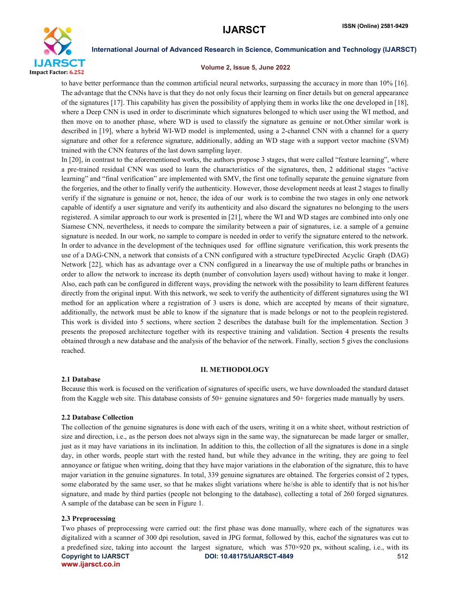

### Volume 2, Issue 5, June 2022

to have better performance than the common artificial neural networks, surpassing the accuracy in more than 10% [16]. The advantage that the CNNs have is that they do not only focus their learning on finer details but on general appearance of the signatures [17]. This capability has given the possibility of applying them in works like the one developed in [18], where a Deep CNN is used in order to discriminate which signatures belonged to which user using the WI method, and then move on to another phase, where WD is used to classify the signature as genuine or not.Other similar work is described in [19], where a hybrid WI-WD model is implemented, using a 2-channel CNN with a channel for a query signature and other for a reference signature, additionally, adding an WD stage with a support vector machine (SVM) trained with the CNN features of the last down sampling layer.

In [20], in contrast to the aforementioned works, the authors propose 3 stages, that were called "feature learning", where a pre-trained residual CNN was used to learn the characteristics of the signatures, then, 2 additional stages "active learning" and "final verification" are implemented with SMV, the first one tofinally separate the genuine signature from the forgeries, and the other to finally verify the authenticity. However, those development needs at least 2 stages to finally verify if the signature is genuine or not, hence, the idea of our work is to combine the two stages in only one network capable of identify a user signature and verify its authenticity and also discard the signatures no belonging to the users registered. A similar approach to our work is presented in [21], where the WI and WD stages are combined into only one Siamese CNN, nevertheless, it needs to compare the similarity between a pair of signatures, i.e. a sample of a genuine signature is needed. In our work, no sample to compare is needed in order to verify the signature entered to the network. In order to advance in the development of the techniques used for offline signature verification, this work presents the use of a DAG-CNN, a network that consists of a CNN configured with a structure typeDirected Acyclic Graph (DAG) Network [22], which has as advantage over a CNN configured in a linearway the use of multiple paths or branches in order to allow the network to increase its depth (number of convolution layers used) without having to make it longer. Also, each path can be configured in different ways, providing the network with the possibility to learn different features directly from the original input. With this network, we seek to verify the authenticity of different signatures using the WI method for an application where a registration of 3 users is done, which are accepted by means of their signature, additionally, the network must be able to know if the signature that is made belongs or not to the peoplein registered. This work is divided into 5 sections, where section 2 describes the database built for the implementation. Section 3 presents the proposed architecture together with its respective training and validation. Section 4 presents the results obtained through a new database and the analysis of the behavior of the network. Finally, section 5 gives the conclusions reached.

### II. METHODOLOGY

### 2.1 Database

Because this work is focused on the verification of signatures of specific users, we have downloaded the standard dataset from the Kaggle web site. This database consists of 50+ genuine signatures and 50+ forgeries made manually by users.

### 2.2 Database Collection

The collection of the genuine signatures is done with each of the users, writing it on a white sheet, without restriction of size and direction, i.e., as the person does not always sign in the same way, the signaturecan be made larger or smaller, just as it may have variations in its inclination. In addition to this, the collection of all the signatures is done in a single day, in other words, people start with the rested hand, but while they advance in the writing, they are going to feel annoyance or fatigue when writing, doing that they have major variations in the elaboration of the signature, this to have major variation in the genuine signatures. In total, 339 genuine signatures are obtained. The forgeries consist of 2 types, some elaborated by the same user, so that he makes slight variations where he/she is able to identify that is not his/her signature, and made by third parties (people not belonging to the database), collecting a total of 260 forged signatures. A sample of the database can be seen in Figure 1.

# 2.3 Preprocessing

Copyright to IJARSCT **DOI: 10.48175/IJARSCT-4849** 512 www.ijarsct.co.in Two phases of preprocessing were carried out: the first phase was done manually, where each of the signatures was digitalized with a scanner of 300 dpi resolution, saved in JPG format, followed by this, eachof the signatures was cut to a predefined size, taking into account the largest signature, which was  $570\times920$  px, without scaling, i.e., with its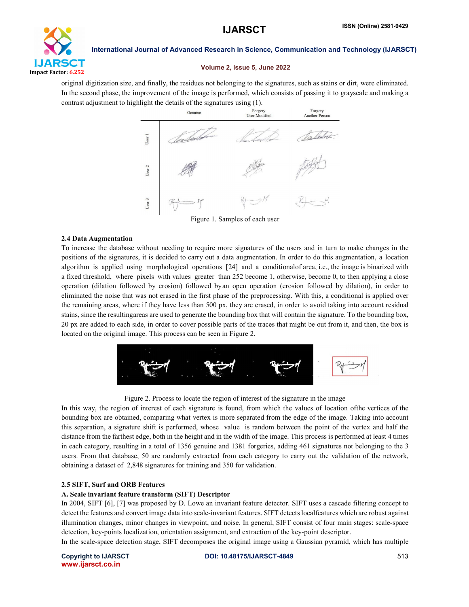

#### Volume 2, Issue 5, June 2022

original digitization size, and finally, the residues not belonging to the signatures, such as stains or dirt, were eliminated. In the second phase, the improvement of the image is performed, which consists of passing it to grayscale and making a contrast adjustment to highlight the details of the signatures using (1).



Figure 1. Samples of each user

#### 2.4 Data Augmentation

To increase the database without needing to require more signatures of the users and in turn to make changes in the positions of the signatures, it is decided to carry out a data augmentation. In order to do this augmentation, a location algorithm is applied using morphological operations [24] and a conditionalof area, i.e., the image is binarized with a fixed threshold, where pixels with values greater than 252 become 1, otherwise, become 0, to then applying a close operation (dilation followed by erosion) followed byan open operation (erosion followed by dilation), in order to eliminated the noise that was not erased in the first phase of the preprocessing. With this, a conditional is applied over the remaining areas, where if they have less than 500 px, they are erased, in order to avoid taking into account residual stains, since the resultingareas are used to generate the bounding box that will contain the signature. To the bounding box, 20 px are added to each side, in order to cover possible parts of the traces that might be out from it, and then, the box is located on the original image. This process can be seen in Figure 2.



Figure 2. Process to locate the region of interest of the signature in the image

In this way, the region of interest of each signature is found, from which the values of location ofthe vertices of the bounding box are obtained, comparing what vertex is more separated from the edge of the image. Taking into account this separation, a signature shift is performed, whose value is random between the point of the vertex and half the distance from the farthest edge, both in the height and in the width of the image. This process is performed at least 4 times in each category, resulting in a total of 1356 genuine and 1381 forgeries, adding 461 signatures not belonging to the 3 users. From that database, 50 are randomly extracted from each category to carry out the validation of the network, obtaining a dataset of 2,848 signatures for training and 350 for validation.

### 2.5 SIFT, Surf and ORB Features

#### A. Scale invariant feature transform (SIFT) Descriptor

In 2004, SIFT [6], [7] was proposed by D. Lowe an invariant feature detector. SIFT uses a cascade filtering concept to detect the features and convert image data into scale-invariant features. SIFT detects localfeatures which are robust against illumination changes, minor changes in viewpoint, and noise. In general, SIFT consist of four main stages: scale-space detection, key-points localization, orientation assignment, and extraction of the key-point descriptor.

In the scale-space detection stage, SIFT decomposes the original image using a Gaussian pyramid, which has multiple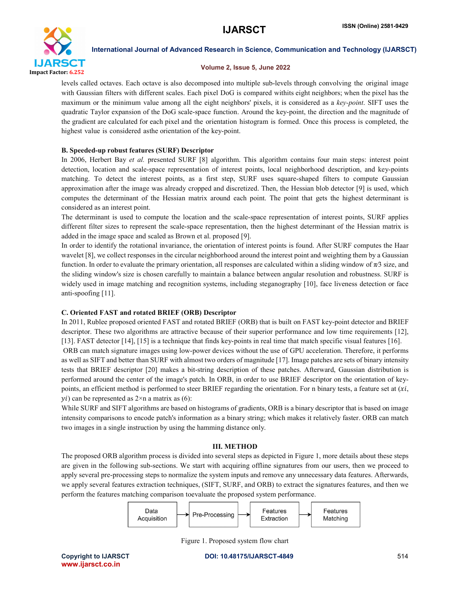

### Volume 2, Issue 5, June 2022

levels called octaves. Each octave is also decomposed into multiple sub-levels through convolving the original image with Gaussian filters with different scales. Each pixel DoG is compared withits eight neighbors; when the pixel has the maximum or the minimum value among all the eight neighbors' pixels, it is considered as a *key-point*. SIFT uses the quadratic Taylor expansion of the DoG scale-space function. Around the key-point, the direction and the magnitude of the gradient are calculated for each pixel and the orientation histogram is formed. Once this process is completed, the highest value is considered asthe orientation of the key-point.

# B. Speeded-up robust features (SURF) Descriptor

In 2006, Herbert Bay *et al.* presented SURF [8] algorithm. This algorithm contains four main steps: interest point detection, location and scale-space representation of interest points, local neighborhood description, and key-points matching. To detect the interest points, as a first step, SURF uses square-shaped filters to compute Gaussian approximation after the image was already cropped and discretized. Then, the Hessian blob detector [9] is used, which computes the determinant of the Hessian matrix around each point. The point that gets the highest determinant is considered as an interest point.

The determinant is used to compute the location and the scale-space representation of interest points, SURF applies different filter sizes to represent the scale-space representation, then the highest determinant of the Hessian matrix is added in the image space and scaled as Brown et al. proposed [9].

In order to identify the rotational invariance, the orientation of interest points is found. After SURF computes the Haar wavelet [8], we collect responses in the circular neighborhood around the interest point and weighting them by a Gaussian function. In order to evaluate the primary orientation, all responses are calculated within a sliding window of  $\pi/3$  size, and the sliding window's size is chosen carefully to maintain a balance between angular resolution and robustness. SURF is widely used in image matching and recognition systems, including steganography [10], face liveness detection or face anti-spoofing [11].

# C. Oriented FAST and rotated BRIEF (ORB) Descriptor

In 2011, Rublee proposed oriented FAST and rotated BRIEF (ORB) that is built on FAST key-point detector and BRIEF descriptor. These two algorithms are attractive because of their superior performance and low time requirements [12], [13]. FAST detector [14], [15] is a technique that finds key-points in real time that match specific visual features [16].

ORB can match signature images using low-power devices without the use of GPU acceleration. Therefore, it performs as well as SIFT and better than SURF with almost two orders of magnitude [17]. Image patches are sets of binary intensity tests that BRIEF descriptor [20] makes a bit-string description of these patches. Afterward, Gaussian distribution is performed around the center of the image's patch. In ORB, in order to use BRIEF descriptor on the orientation of keypoints, an efficient method is performed to steer BRIEF regarding the orientation. For n binary tests, a feature set at  $(x_i)$ ,  $y_i$ ) can be represented as  $2 \times n$  a matrix as (6):

While SURF and SIFT algorithms are based on histograms of gradients, ORB is a binary descriptor that is based on image intensity comparisons to encode patch's information as a binary string; which makes it relatively faster. ORB can match two images in a single instruction by using the hamming distance only.

### III. METHOD

The proposed ORB algorithm process is divided into several steps as depicted in Figure 1, more details about these steps are given in the following sub-sections. We start with acquiring offline signatures from our users, then we proceed to apply several pre-processing steps to normalize the system inputs and remove any unnecessary data features. Afterwards, we apply several features extraction techniques, (SIFT, SURF, and ORB) to extract the signatures features, and then we perform the features matching comparison toevaluate the proposed system performance.



Figure 1. Proposed system flow chart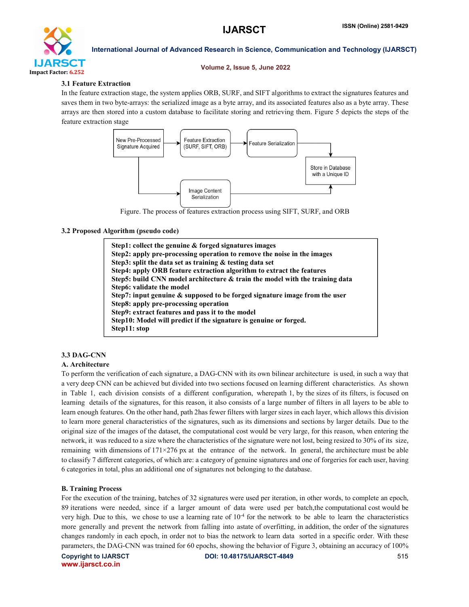

#### Volume 2, Issue 5, June 2022

### 3.1 Feature Extraction

In the feature extraction stage, the system applies ORB, SURF, and SIFT algorithms to extract the signatures features and saves them in two byte-arrays: the serialized image as a byte array, and its associated features also as a byte array. These arrays are then stored into a custom database to facilitate storing and retrieving them. Figure 5 depicts the steps of the feature extraction stage



Figure. The process of features extraction process using SIFT, SURF, and ORB

# 3.2 Proposed Algorithm (pseudo code)

Step1: collect the genuine & forged signatures images Step2: apply pre-processing operation to remove the noise in the images Step3: split the data set as training & testing data set Step4: apply ORB feature extraction algorithm to extract the features Step5: build CNN model architecture & train the model with the training data Step6: validate the model Step7: input genuine & supposed to be forged signature image from the user Step8: apply pre-processing operation Step9: extract features and pass it to the model Step10: Model will predict if the signature is genuine or forged. Step11: stop

# 3.3 DAG-CNN

# A. Architecture

To perform the verification of each signature, a DAG-CNN with its own bilinear architecture is used, in such a way that a very deep CNN can be achieved but divided into two sections focused on learning different characteristics. As shown in Table 1, each division consists of a different configuration, wherepath 1, by the sizes of its filters, is focused on learning details of the signatures, for this reason, it also consists of a large number of filters in all layers to be able to learn enough features. On the other hand, path 2has fewer filters with larger sizes in each layer, which allows this division to learn more general characteristics of the signatures, such as its dimensions and sections by larger details. Due to the original size of the images of the dataset, the computational cost would be very large, for this reason, when entering the network, it was reduced to a size where the characteristics of the signature were not lost, being resized to 30% of its size, remaining with dimensions of 171×276 px at the entrance of the network. In general, the architecture must be able to classify 7 different categories, of which are: a category of genuine signatures and one of forgeries for each user, having 6 categories in total, plus an additional one of signatures not belonging to the database.

# B. Training Process

For the execution of the training, batches of 32 signatures were used per iteration, in other words, to complete an epoch, 89 iterations were needed, since if a larger amount of data were used per batch,the computational cost would be very high. Due to this, we chose to use a learning rate of  $10^{-4}$  for the network to be able to learn the characteristics more generally and prevent the network from falling into astate of overfitting, in addition, the order of the signatures changes randomly in each epoch, in order not to bias the network to learn data sorted in a specific order. With these parameters, the DAG-CNN was trained for 60 epochs, showing the behavior of Figure 3, obtaining an accuracy of 100%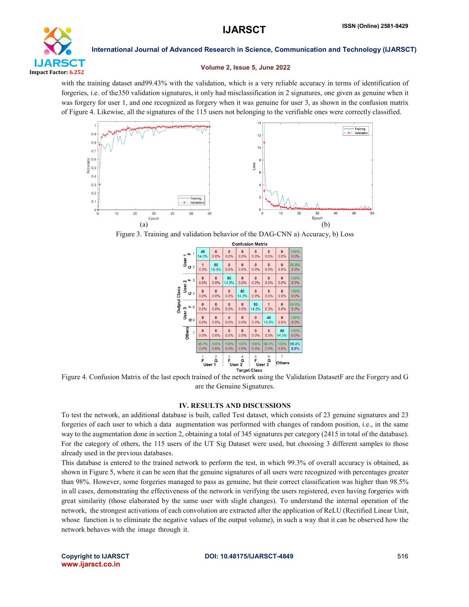

#### Volume 2, Issue 5, June 2022

with the training dataset and99.43% with the validation, which is a very reliable accuracy in terms of identification of forgeries, i.e. of the350 validation signatures, it only had misclassification in 2 signatures, one given as genuine when it was forgery for user 1, and one recognized as forgery when it was genuine for user 3, as shown in the confusion matrix of Figure 4. Likewise, all the signatures of the 115 users not belonging to the verifiable ones were correctly classified.



Figure 3. Training and validation behavior of the DAG-CNN a) Accuracy, b) Loss

|                     |                                 |                                 |                                  | <b>Confusion Matrix</b> |                             |                      |                        |                                 |               |  |
|---------------------|---------------------------------|---------------------------------|----------------------------------|-------------------------|-----------------------------|----------------------|------------------------|---------------------------------|---------------|--|
| <b>Output Class</b> | $L_{1}$                         | 49<br>14.0%                     | $\mathbf{0}$<br>0.0%             | $\bullet$<br>0.0%       | $\mathbf{0}$<br>0.0%        | $\mathbf{0}$<br>0.0% | $\mathbf{0}$<br>0.0%   | $\mathbf{0}$<br>0.0%            | 100%<br>0.0%  |  |
|                     | User <sup>1</sup><br>02         | $\overline{\mathbf{1}}$<br>0.3% | 50<br>14.3%                      | $\bf{0}$<br>0.0%        | $\bf{0}$<br>0.0%            | $\mathbf{0}$<br>0.0% | $\mathbf{0}$<br>0.0%   | $\mathbf{0}$<br>0.0%            | 98.0%<br>2.0% |  |
|                     | L <sub>3</sub><br>2             | $\mathbf{0}$<br>0.0%            | $\mathbf{0}$<br>0.0%             | 50<br>14.3%             | $\bf{0}$<br>0.0%            | $\bf{0}$<br>0.0%     | $\bf{0}$<br>0.0%       | $\bf{0}$<br>0.0%                | 100%<br>0.0%  |  |
|                     | User<br>04                      | $\mathbf{0}$<br>0.0%            | $\mathbf{0}$<br>0.0%             | $\mathbf{0}$<br>0.0%    | 50<br>14.3%                 | $\mathbf{0}$<br>0.0% | $\mathbf{0}$<br>0.0%   | $\overline{0}$<br>0.0%          | 100%<br>0.0%  |  |
|                     | 4.5                             | $\mathbf{0}$<br>0.0%            | $\mathbf{0}$<br>0.0%             | $\Omega$<br>0.0%        | $\Omega$<br>0.0%            | 50<br>14.3%          | $\overline{1}$<br>0.3% | $\Omega$<br>0.0%                | 98.0%<br>2.0% |  |
|                     | User 3<br>06                    | $\mathbf{0}$<br>0.0%            | $\mathbf{0}$<br>0.0%             | $\mathbf{0}$<br>0.0%    | $\bf{0}$<br>0.0%            | $\mathbf{0}$<br>0.0% | 49<br>14.0%            | $\mathbf{0}$<br>0.0%            | 100%<br>0.0%  |  |
|                     | <b>Others</b><br>$\overline{7}$ | $\mathbf{0}$<br>0.0%            | $\mathbf{0}$<br>0.0%             | $\bf{0}$<br>0.0%        | $\bf{0}$<br>0.0%            | $\bf{0}$<br>0.0%     | $\mathbf{0}$<br>0.0%   | 50<br>14.3%                     | 100%<br>0.0%  |  |
|                     |                                 | 98.0%<br>2.0%                   | 100%<br>0.0%                     | 100%<br>0.0%            | 100%<br>0.0%                | 100%<br>0.0%         | 98.0%<br>2.0%          | 100%<br>0.0%                    | 99.4%<br>0.6% |  |
|                     |                                 | F                               | $\frac{2}{\mathbf{G}}$<br>User 1 | 3<br>Ë                  | 4<br>G<br>User <sub>2</sub> | 5<br>F               | 6<br>G<br>User 3       | $\overline{7}$<br><b>Others</b> |               |  |
|                     | Target Class                    |                                 |                                  |                         |                             |                      |                        |                                 |               |  |

Figure 4. Confusion Matrix of the last epoch trained of the network using the Validation DatasetF are the Forgery and G are the Genuine Signatures.

### IV. RESULTS AND DISCUSSIONS

To test the network, an additional database is built, called Test dataset, which consists of 23 genuine signatures and 23 forgeries of each user to which a data augmentation was performed with changes of random position, i.e., in the same way to the augmentation done in section 2, obtaining a total of 345 signatures per category (2415 in total of the database). For the category of others, the 115 users of the UT Sig Dataset were used, but choosing 3 different samples to those already used in the previous databases.

This database is entered to the trained network to perform the test, in which 99.3% of overall accuracy is obtained, as shown in Figure 5, where it can be seen that the genuine signatures of all users were recognized with percentages greater than 98%. However, some forgeries managed to pass as genuine, but their correct classification was higher than 98.5% in all cases, demonstrating the effectiveness of the network in verifying the users registered, even having forgeries with great similarity (those elaborated by the same user with slight changes). To understand the internal operation of the network, the strongest activations of each convolution are extracted after the application of ReLU (Rectified Linear Unit, whose function is to eliminate the negative values of the output volume), in such a way that it can be observed how the network behaves with the image through it.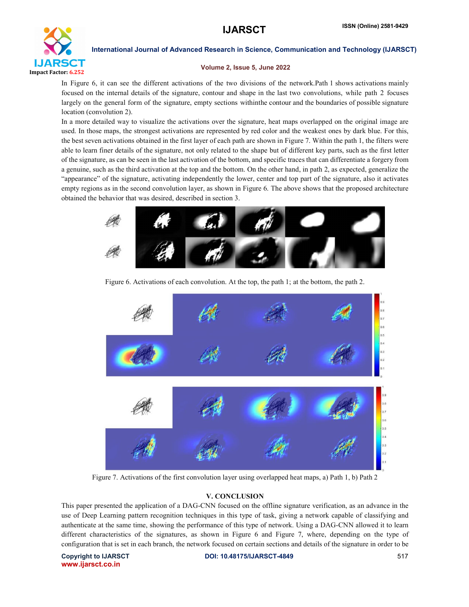

# Volume 2, Issue 5, June 2022

In Figure 6, it can see the different activations of the two divisions of the network.Path 1 shows activations mainly focused on the internal details of the signature, contour and shape in the last two convolutions, while path 2 focuses largely on the general form of the signature, empty sections withinthe contour and the boundaries of possible signature location (convolution 2).

In a more detailed way to visualize the activations over the signature, heat maps overlapped on the original image are used. In those maps, the strongest activations are represented by red color and the weakest ones by dark blue. For this, the best seven activations obtained in the first layer of each path are shown in Figure 7. Within the path 1, the filters were able to learn finer details of the signature, not only related to the shape but of different key parts, such as the first letter of the signature, as can be seen in the last activation of the bottom, and specific traces that can differentiate a forgery from a genuine, such as the third activation at the top and the bottom. On the other hand, in path 2, as expected, generalize the "appearance" of the signature, activating independently the lower, center and top part of the signature, also it activates empty regions as in the second convolution layer, as shown in Figure 6. The above shows that the proposed architecture obtained the behavior that was desired, described in section 3.



Figure 6. Activations of each convolution. At the top, the path 1; at the bottom, the path 2.



Figure 7. Activations of the first convolution layer using overlapped heat maps, a) Path 1, b) Path 2

### V. CONCLUSION

This paper presented the application of a DAG-CNN focused on the offline signature verification, as an advance in the use of Deep Learning pattern recognition techniques in this type of task, giving a network capable of classifying and authenticate at the same time, showing the performance of this type of network. Using a DAG-CNN allowed it to learn different characteristics of the signatures, as shown in Figure 6 and Figure 7, where, depending on the type of configuration that is set in each branch, the network focused on certain sections and details of the signature in order to be